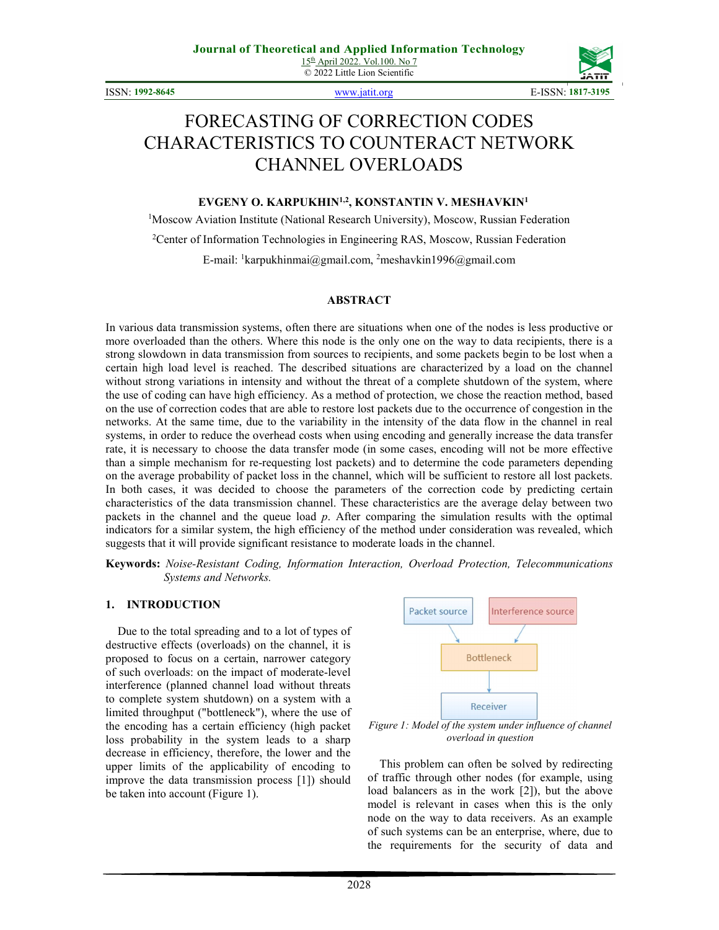© 2022 Little Lion Scientific

ISSN: **1992-8645** www.jatit.org E-ISSN: **1817-3195**



# FORECASTING OF CORRECTION СODES CHARACTERISTICS TO COUNTERACT NETWORK CHANNEL OVERLOADS

#### **EVGENY O. KARPUKHIN1,2, KONSTANTIN V. MESHAVKIN<sup>1</sup>**

<sup>1</sup>Moscow Aviation Institute (National Research University), Moscow, Russian Federation <sup>2</sup>Center of Information Technologies in Engineering RAS, Moscow, Russian Federation E-mail: <sup>1</sup>karpukhinmai@gmail.com, <sup>2</sup>meshavkin1996@gmail.com

#### **ABSTRACT**

In various data transmission systems, often there are situations when one of the nodes is less productive or more overloaded than the others. Where this node is the only one on the way to data recipients, there is a strong slowdown in data transmission from sources to recipients, and some packets begin to be lost when a certain high load level is reached. The described situations are characterized by a load on the channel without strong variations in intensity and without the threat of a complete shutdown of the system, where the use of coding can have high efficiency. As a method of protection, we chose the reaction method, based on the use of correction codes that are able to restore lost packets due to the occurrence of congestion in the networks. At the same time, due to the variability in the intensity of the data flow in the channel in real systems, in order to reduce the overhead costs when using encoding and generally increase the data transfer rate, it is necessary to choose the data transfer mode (in some cases, encoding will not be more effective than a simple mechanism for re-requesting lost packets) and to determine the code parameters depending on the average probability of packet loss in the channel, which will be sufficient to restore all lost packets. In both cases, it was decided to choose the parameters of the correction code by predicting certain characteristics of the data transmission channel. These characteristics are the average delay between two packets in the channel and the queue load *p*. After comparing the simulation results with the optimal indicators for a similar system, the high efficiency of the method under consideration was revealed, which suggests that it will provide significant resistance to moderate loads in the channel.

**Keywords:** *Noise-Resistant Coding, Information Interaction, Overload Protection, Telecommunications Systems and Networks.*

#### **1. INTRODUCTION**

Due to the total spreading and to a lot of types of destructive effects (overloads) on the channel, it is proposed to focus on a certain, narrower category of such overloads: on the impact of moderate-level interference (planned channel load without threats to complete system shutdown) on a system with a limited throughput ("bottleneck"), where the use of the encoding has a certain efficiency (high packet loss probability in the system leads to a sharp decrease in efficiency, therefore, the lower and the upper limits of the applicability of encoding to improve the data transmission process [1]) should be taken into account (Figure 1).



*Figure 1: Model of the system under influence of channel overload in question* 

This problem can often be solved by redirecting of traffic through other nodes (for example, using load balancers as in the work [2]), but the above model is relevant in cases when this is the only node on the way to data receivers. As an example of such systems can be an enterprise, where, due to the requirements for the security of data and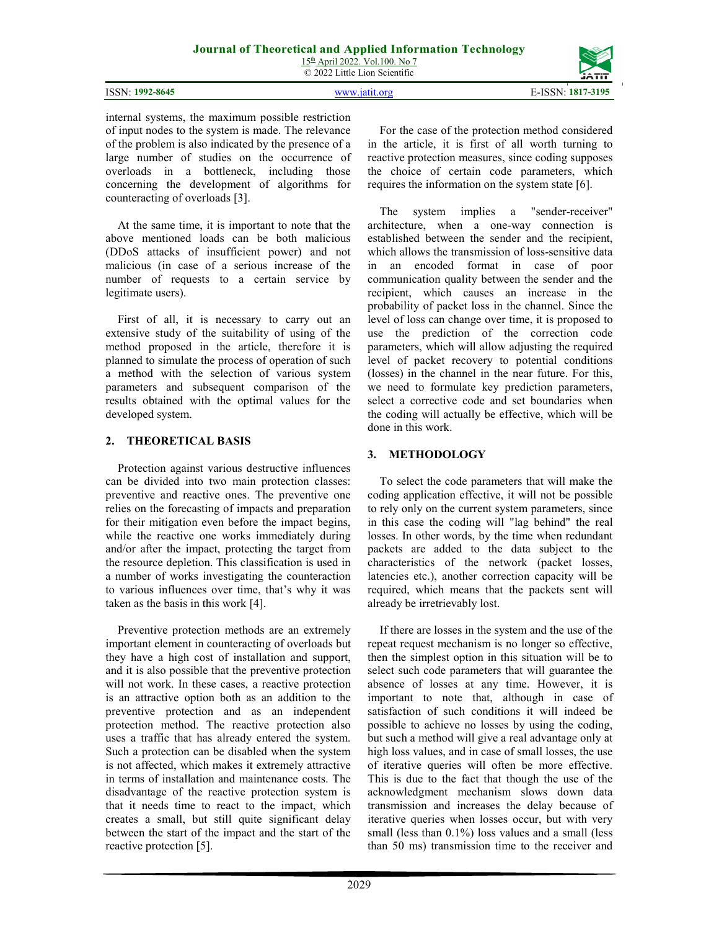15th April 2022. Vol.100. No 7 © 2022 Little Lion Scientific

|                    | <b>JAIL</b>            |
|--------------------|------------------------|
| 1992-8645<br>ISSN: | 7-3195<br>1817<br>- NI |

internal systems, the maximum possible restriction of input nodes to the system is made. The relevance of the problem is also indicated by the presence of a large number of studies on the occurrence of overloads in a bottleneck, including those concerning the development of algorithms for counteracting of overloads [3].

At the same time, it is important to note that the above mentioned loads can be both malicious (DDoS attacks of insufficient power) and not malicious (in case of a serious increase of the number of requests to a certain service by legitimate users).

First of all, it is necessary to carry out an extensive study of the suitability of using of the method proposed in the article, therefore it is planned to simulate the process of operation of such a method with the selection of various system parameters and subsequent comparison of the results obtained with the optimal values for the developed system.

#### **2. THEORETICAL BASIS**

Protection against various destructive influences can be divided into two main protection classes: preventive and reactive ones. The preventive one relies on the forecasting of impacts and preparation for their mitigation even before the impact begins, while the reactive one works immediately during and/or after the impact, protecting the target from the resource depletion. This classification is used in a number of works investigating the counteraction to various influences over time, that's why it was taken as the basis in this work [4].

Preventive protection methods are an extremely important element in counteracting of overloads but they have a high cost of installation and support, and it is also possible that the preventive protection will not work. In these cases, a reactive protection is an attractive option both as an addition to the preventive protection and as an independent protection method. The reactive protection also uses a traffic that has already entered the system. Such a protection can be disabled when the system is not affected, which makes it extremely attractive in terms of installation and maintenance costs. The disadvantage of the reactive protection system is that it needs time to react to the impact, which creates a small, but still quite significant delay between the start of the impact and the start of the reactive protection [5].

For the case of the protection method considered in the article, it is first of all worth turning to reactive protection measures, since coding supposes the choice of certain code parameters, which requires the information on the system state [6].

The system implies a "sender-receiver" architecture, when a one-way connection is established between the sender and the recipient, which allows the transmission of loss-sensitive data in an encoded format in case of poor communication quality between the sender and the recipient, which causes an increase in the probability of packet loss in the channel. Since the level of loss can change over time, it is proposed to use the prediction of the correction code parameters, which will allow adjusting the required level of packet recovery to potential conditions (losses) in the channel in the near future. For this, we need to formulate key prediction parameters, select a corrective code and set boundaries when the coding will actually be effective, which will be done in this work.

## **3. METHODOLOGY**

To select the code parameters that will make the coding application effective, it will not be possible to rely only on the current system parameters, since in this case the coding will "lag behind" the real losses. In other words, by the time when redundant packets are added to the data subject to the characteristics of the network (packet losses, latencies etc.), another correction capacity will be required, which means that the packets sent will already be irretrievably lost.

If there are losses in the system and the use of the repeat request mechanism is no longer so effective, then the simplest option in this situation will be to select such code parameters that will guarantee the absence of losses at any time. However, it is important to note that, although in case of satisfaction of such conditions it will indeed be possible to achieve no losses by using the coding, but such a method will give a real advantage only at high loss values, and in case of small losses, the use of iterative queries will often be more effective. This is due to the fact that though the use of the acknowledgment mechanism slows down data transmission and increases the delay because of iterative queries when losses occur, but with very small (less than  $0.1\%$ ) loss values and a small (less than 50 ms) transmission time to the receiver and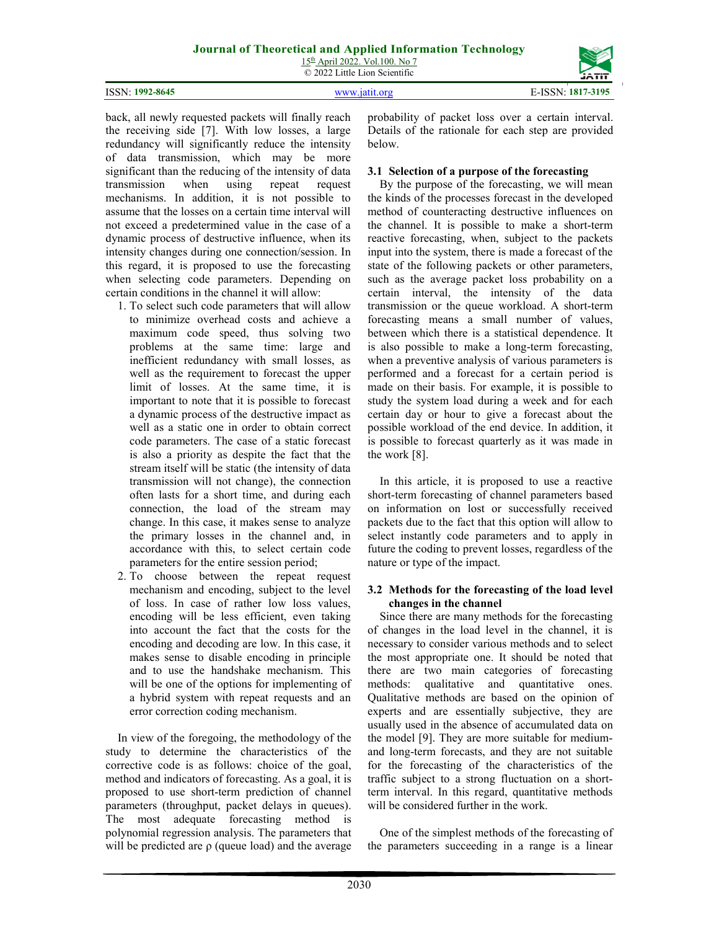|                 | $15th$ April 2022. Vol.100. No 7<br>© 2022 Little Lion Scientific | <b><i>CAMBRIC</i></b><br><b>JAIL</b> |
|-----------------|-------------------------------------------------------------------|--------------------------------------|
| ISSN: 1992-8645 | www.jatit.org                                                     | E-ISSN: 1817-3195                    |

back, all newly requested packets will finally reach the receiving side [7]. With low losses, a large redundancy will significantly reduce the intensity of data transmission, which may be more significant than the reducing of the intensity of data transmission when using repeat request mechanisms. In addition, it is not possible to assume that the losses on a certain time interval will not exceed a predetermined value in the case of a dynamic process of destructive influence, when its intensity changes during one connection/session. In this regard, it is proposed to use the forecasting when selecting code parameters. Depending on certain conditions in the channel it will allow:

- 1. To select such code parameters that will allow to minimize overhead costs and achieve a maximum code speed, thus solving two problems at the same time: large and inefficient redundancy with small losses, as well as the requirement to forecast the upper limit of losses. At the same time, it is important to note that it is possible to forecast a dynamic process of the destructive impact as well as a static one in order to obtain correct code parameters. The case of a static forecast is also a priority as despite the fact that the stream itself will be static (the intensity of data transmission will not change), the connection often lasts for a short time, and during each connection, the load of the stream may change. In this case, it makes sense to analyze the primary losses in the channel and, in accordance with this, to select certain code parameters for the entire session period;
- 2. To choose between the repeat request mechanism and encoding, subject to the level of loss. In case of rather low loss values, encoding will be less efficient, even taking into account the fact that the costs for the encoding and decoding are low. In this case, it makes sense to disable encoding in principle and to use the handshake mechanism. This will be one of the options for implementing of a hybrid system with repeat requests and an error correction coding mechanism.

In view of the foregoing, the methodology of the study to determine the characteristics of the corrective code is as follows: choice of the goal, method and indicators of forecasting. As a goal, it is proposed to use short-term prediction of channel parameters (throughput, packet delays in queues). The most adequate forecasting method is polynomial regression analysis. The parameters that will be predicted are  $\rho$  (queue load) and the average probability of packet loss over a certain interval. Details of the rationale for each step are provided below.

## **3.1 Selection of a purpose of the forecasting**

By the purpose of the forecasting, we will mean the kinds of the processes forecast in the developed method of counteracting destructive influences on the channel. It is possible to make a short-term reactive forecasting, when, subject to the packets input into the system, there is made a forecast of the state of the following packets or other parameters, such as the average packet loss probability on a certain interval, the intensity of the data transmission or the queue workload. A short-term forecasting means a small number of values, between which there is a statistical dependence. It is also possible to make a long-term forecasting, when a preventive analysis of various parameters is performed and a forecast for a certain period is made on their basis. For example, it is possible to study the system load during a week and for each certain day or hour to give a forecast about the possible workload of the end device. In addition, it is possible to forecast quarterly as it was made in the work [8].

In this article, it is proposed to use a reactive short-term forecasting of channel parameters based on information on lost or successfully received packets due to the fact that this option will allow to select instantly code parameters and to apply in future the coding to prevent losses, regardless of the nature or type of the impact.

#### **3.2 Methods for the forecasting of the load level changes in the channel**

Since there are many methods for the forecasting of changes in the load level in the channel, it is necessary to consider various methods and to select the most appropriate one. It should be noted that there are two main categories of forecasting methods: qualitative and quantitative ones. Qualitative methods are based on the opinion of experts and are essentially subjective, they are usually used in the absence of accumulated data on the model [9]. They are more suitable for mediumand long-term forecasts, and they are not suitable for the forecasting of the characteristics of the traffic subject to a strong fluctuation on a shortterm interval. In this regard, quantitative methods will be considered further in the work.

One of the simplest methods of the forecasting of the parameters succeeding in a range is a linear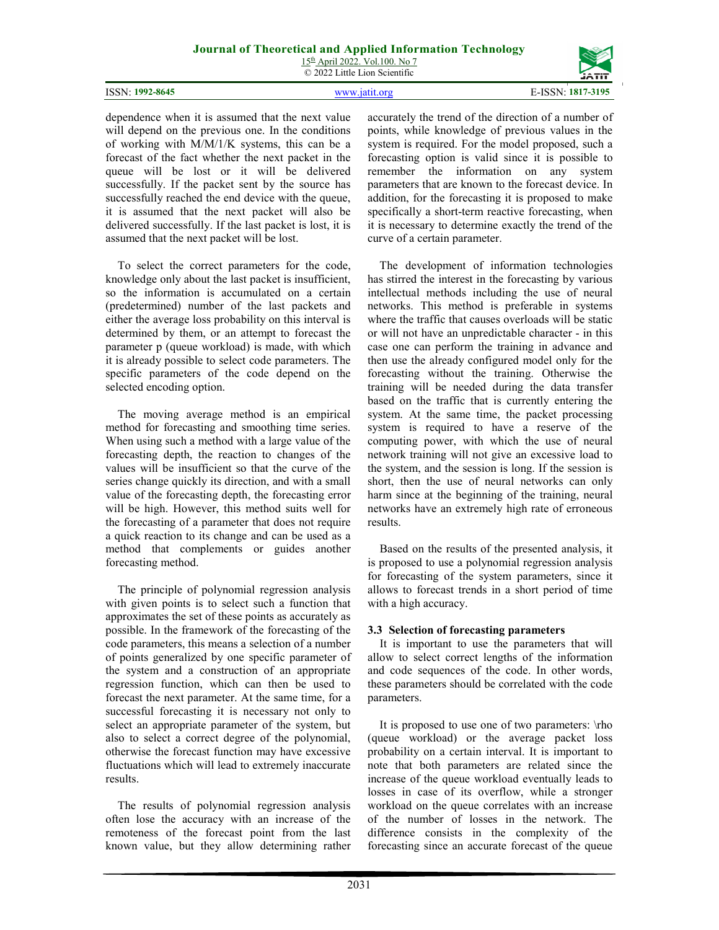15th April 2022. Vol.100. No 7 © 2022 Little Lion Scientific

| ISSN: 1992-8645 | www.jatit.org |  |
|-----------------|---------------|--|

dependence when it is assumed that the next value will depend on the previous one. In the conditions of working with M/M/1/K systems, this can be a forecast of the fact whether the next packet in the queue will be lost or it will be delivered successfully. If the packet sent by the source has successfully reached the end device with the queue, it is assumed that the next packet will also be delivered successfully. If the last packet is lost, it is assumed that the next packet will be lost.

To select the correct parameters for the code, knowledge only about the last packet is insufficient, so the information is accumulated on a certain (predetermined) number of the last packets and either the average loss probability on this interval is determined by them, or an attempt to forecast the parameter p (queue workload) is made, with which it is already possible to select code parameters. The specific parameters of the code depend on the selected encoding option.

The moving average method is an empirical method for forecasting and smoothing time series. When using such a method with a large value of the forecasting depth, the reaction to changes of the values will be insufficient so that the curve of the series change quickly its direction, and with a small value of the forecasting depth, the forecasting error will be high. However, this method suits well for the forecasting of a parameter that does not require a quick reaction to its change and can be used as a method that complements or guides another forecasting method.

The principle of polynomial regression analysis with given points is to select such a function that approximates the set of these points as accurately as possible. In the framework of the forecasting of the code parameters, this means a selection of a number of points generalized by one specific parameter of the system and a construction of an appropriate regression function, which can then be used to forecast the next parameter. At the same time, for a successful forecasting it is necessary not only to select an appropriate parameter of the system, but also to select a correct degree of the polynomial, otherwise the forecast function may have excessive fluctuations which will lead to extremely inaccurate results.

The results of polynomial regression analysis often lose the accuracy with an increase of the remoteness of the forecast point from the last known value, but they allow determining rather accurately the trend of the direction of a number of points, while knowledge of previous values in the system is required. For the model proposed, such a forecasting option is valid since it is possible to remember the information on any system parameters that are known to the forecast device. In addition, for the forecasting it is proposed to make specifically a short-term reactive forecasting, when it is necessary to determine exactly the trend of the curve of a certain parameter.

The development of information technologies has stirred the interest in the forecasting by various intellectual methods including the use of neural networks. This method is preferable in systems where the traffic that causes overloads will be static or will not have an unpredictable character - in this case one can perform the training in advance and then use the already configured model only for the forecasting without the training. Otherwise the training will be needed during the data transfer based on the traffic that is currently entering the system. At the same time, the packet processing system is required to have a reserve of the computing power, with which the use of neural network training will not give an excessive load to the system, and the session is long. If the session is short, then the use of neural networks can only harm since at the beginning of the training, neural networks have an extremely high rate of erroneous results.

Based on the results of the presented analysis, it is proposed to use a polynomial regression analysis for forecasting of the system parameters, since it allows to forecast trends in a short period of time with a high accuracy.

## **3.3 Selection of forecasting parameters**

It is important to use the parameters that will allow to select correct lengths of the information and code sequences of the code. In other words, these parameters should be correlated with the code parameters.

It is proposed to use one of two parameters: \rho (queue workload) or the average packet loss probability on a certain interval. It is important to note that both parameters are related since the increase of the queue workload eventually leads to losses in case of its overflow, while a stronger workload on the queue correlates with an increase of the number of losses in the network. The difference consists in the complexity of the forecasting since an accurate forecast of the queue

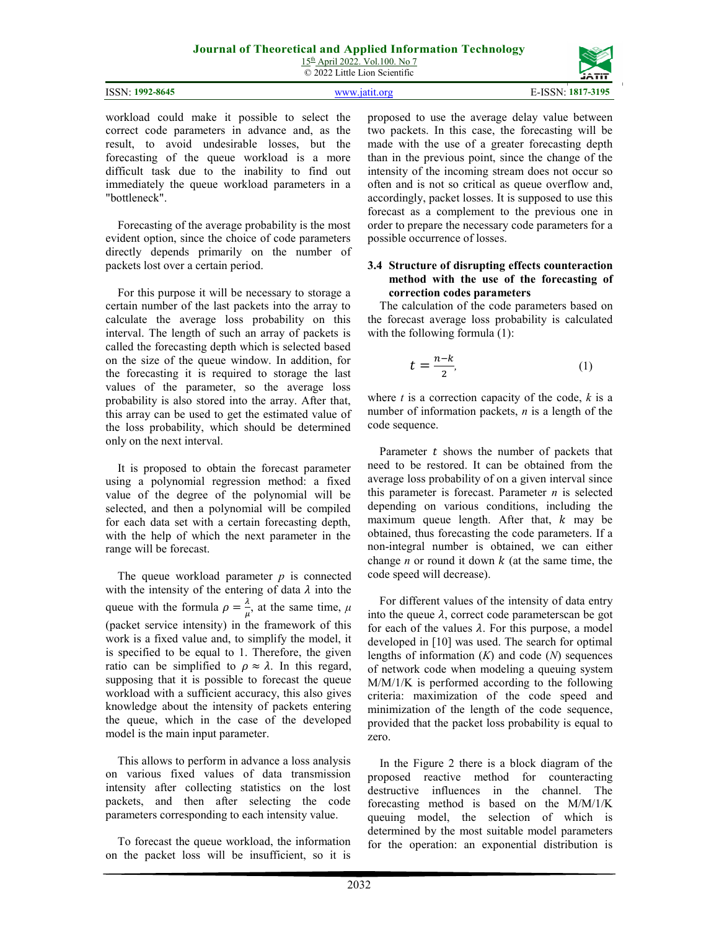15th April 2022. Vol.100. No 7 © 2022 Little Lion Scientific

| ISSN: 1992-8645 | WWW 1911 Oro | E-ISSN: | $.1817 - 3195$ |
|-----------------|--------------|---------|----------------|

workload could make it possible to select the correct code parameters in advance and, as the result, to avoid undesirable losses, but the forecasting of the queue workload is a more difficult task due to the inability to find out immediately the queue workload parameters in a "bottleneck".

Forecasting of the average probability is the most evident option, since the choice of code parameters directly depends primarily on the number of packets lost over a certain period.

For this purpose it will be necessary to storage a certain number of the last packets into the array to calculate the average loss probability on this interval. The length of such an array of packets is called the forecasting depth which is selected based on the size of the queue window. In addition, for the forecasting it is required to storage the last values of the parameter, so the average loss probability is also stored into the array. After that, this array can be used to get the estimated value of the loss probability, which should be determined only on the next interval.

It is proposed to obtain the forecast parameter using a polynomial regression method: a fixed value of the degree of the polynomial will be selected, and then a polynomial will be compiled for each data set with a certain forecasting depth, with the help of which the next parameter in the range will be forecast.

The queue workload parameter *p* is connected with the intensity of the entering of data  $\lambda$  into the queue with the formula  $\rho = \frac{\lambda}{n}$  $\frac{\pi}{\mu}$ , at the same time,  $\mu$ (packet service intensity) in the framework of this work is a fixed value and, to simplify the model, it is specified to be equal to 1. Therefore, the given ratio can be simplified to  $\rho \approx \lambda$ . In this regard, supposing that it is possible to forecast the queue workload with a sufficient accuracy, this also gives knowledge about the intensity of packets entering the queue, which in the case of the developed model is the main input parameter.

This allows to perform in advance a loss analysis on various fixed values of data transmission intensity after collecting statistics on the lost packets, and then after selecting the code parameters corresponding to each intensity value.

To forecast the queue workload, the information on the packet loss will be insufficient, so it is proposed to use the average delay value between two packets. In this case, the forecasting will be made with the use of a greater forecasting depth than in the previous point, since the change of the intensity of the incoming stream does not occur so often and is not so critical as queue overflow and, accordingly, packet losses. It is supposed to use this forecast as a complement to the previous one in order to prepare the necessary code parameters for a possible occurrence of losses.

#### **3.4 Structure of disrupting effects counteraction method with the use of the forecasting of correction codes parameters**

The calculation of the code parameters based on the forecast average loss probability is calculated with the following formula  $(1)$ :

$$
t = \frac{n-k}{2},\tag{1}
$$

where  $t$  is a correction capacity of the code,  $k$  is a number of information packets, *n* is a length of the code sequence.

Parameter  $t$  shows the number of packets that need to be restored. It can be obtained from the average loss probability of on a given interval since this parameter is forecast. Parameter *n* is selected depending on various conditions, including the maximum queue length. After that,  $k$  may be obtained, thus forecasting the code parameters. If a non-integral number is obtained, we can either change *n* or round it down  $k$  (at the same time, the code speed will decrease).

For different values of the intensity of data entry into the queue  $\lambda$ , correct code parameterscan be got for each of the values  $\lambda$ . For this purpose, a model developed in [10] was used. The search for optimal lengths of information (*K*) and code (*N*) sequences of network code when modeling a queuing system M/M/1/K is performed according to the following criteria: maximization of the code speed and minimization of the length of the code sequence, provided that the packet loss probability is equal to zero.

In the Figure 2 there is a block diagram of the proposed reactive method for counteracting destructive influences in the channel. The forecasting method is based on the M/M/1/K queuing model, the selection of which is determined by the most suitable model parameters for the operation: an exponential distribution is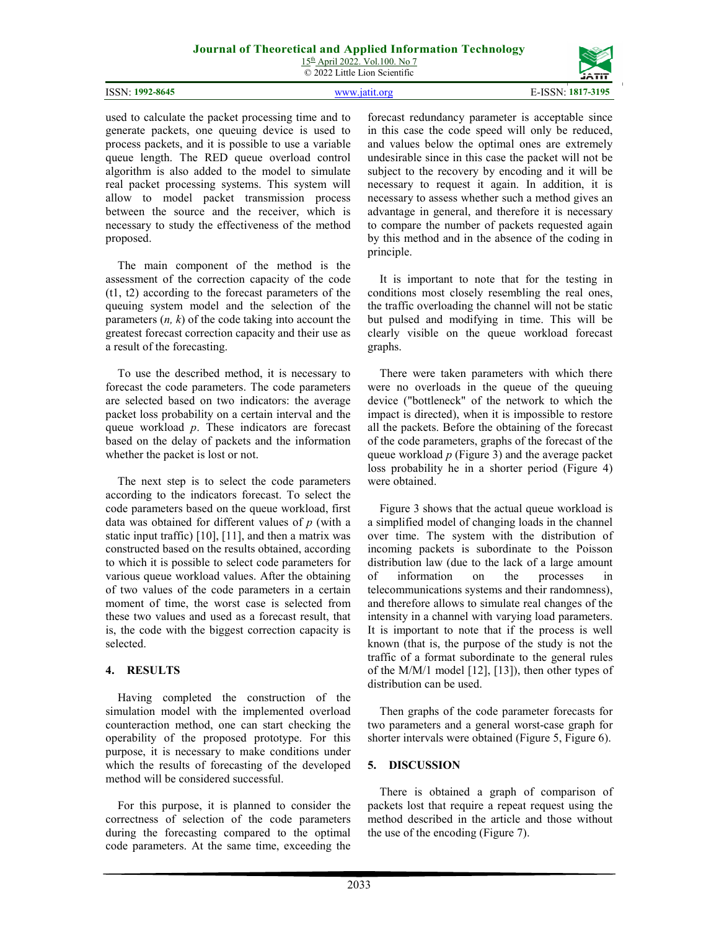15th April 2022. Vol.100. No 7 © 2022 Little Lion Scientific

|                   | ------------                   |
|-------------------|--------------------------------|
|                   |                                |
| 1992-8645<br>≂N ⊶ | $-310F$<br><b>ICCNI</b><br>181 |

used to calculate the packet processing time and to generate packets, one queuing device is used to process packets, and it is possible to use a variable queue length. The RED queue overload control algorithm is also added to the model to simulate real packet processing systems. This system will allow to model packet transmission process between the source and the receiver, which is necessary to study the effectiveness of the method proposed.

The main component of the method is the assessment of the correction capacity of the code (t1, t2) according to the forecast parameters of the queuing system model and the selection of the parameters (*n, k*) of the code taking into account the greatest forecast correction capacity and their use as a result of the forecasting.

To use the described method, it is necessary to forecast the code parameters. The code parameters are selected based on two indicators: the average packet loss probability on a certain interval and the queue workload *p*. These indicators are forecast based on the delay of packets and the information whether the packet is lost or not.

The next step is to select the code parameters according to the indicators forecast. To select the code parameters based on the queue workload, first data was obtained for different values of *p* (with a static input traffic) [10], [11], and then a matrix was constructed based on the results obtained, according to which it is possible to select code parameters for various queue workload values. After the obtaining of two values of the code parameters in a certain moment of time, the worst case is selected from these two values and used as a forecast result, that is, the code with the biggest correction capacity is selected.

## **4. RESULTS**

Having completed the construction of the simulation model with the implemented overload counteraction method, one can start checking the operability of the proposed prototype. For this purpose, it is necessary to make conditions under which the results of forecasting of the developed method will be considered successful.

For this purpose, it is planned to consider the correctness of selection of the code parameters during the forecasting compared to the optimal code parameters. At the same time, exceeding the

forecast redundancy parameter is acceptable since in this case the code speed will only be reduced, and values below the optimal ones are extremely undesirable since in this case the packet will not be subject to the recovery by encoding and it will be necessary to request it again. In addition, it is necessary to assess whether such a method gives an advantage in general, and therefore it is necessary to compare the number of packets requested again by this method and in the absence of the coding in principle.

It is important to note that for the testing in conditions most closely resembling the real ones, the traffic overloading the channel will not be static but pulsed and modifying in time. This will be clearly visible on the queue workload forecast graphs.

There were taken parameters with which there were no overloads in the queue of the queuing device ("bottleneck" of the network to which the impact is directed), when it is impossible to restore all the packets. Before the obtaining of the forecast of the code parameters, graphs of the forecast of the queue workload *p* (Figure 3) and the average packet loss probability he in a shorter period (Figure 4) were obtained.

Figure 3 shows that the actual queue workload is a simplified model of changing loads in the channel over time. The system with the distribution of incoming packets is subordinate to the Poisson distribution law (due to the lack of a large amount of information on the processes in telecommunications systems and their randomness), and therefore allows to simulate real changes of the intensity in a channel with varying load parameters. It is important to note that if the process is well known (that is, the purpose of the study is not the traffic of a format subordinate to the general rules of the M/M/1 model [12], [13]), then other types of distribution can be used.

Then graphs of the code parameter forecasts for two parameters and a general worst-case graph for shorter intervals were obtained (Figure 5, Figure 6).

# **5. DISCUSSION**

There is obtained a graph of comparison of packets lost that require a repeat request using the method described in the article and those without the use of the encoding (Figure 7).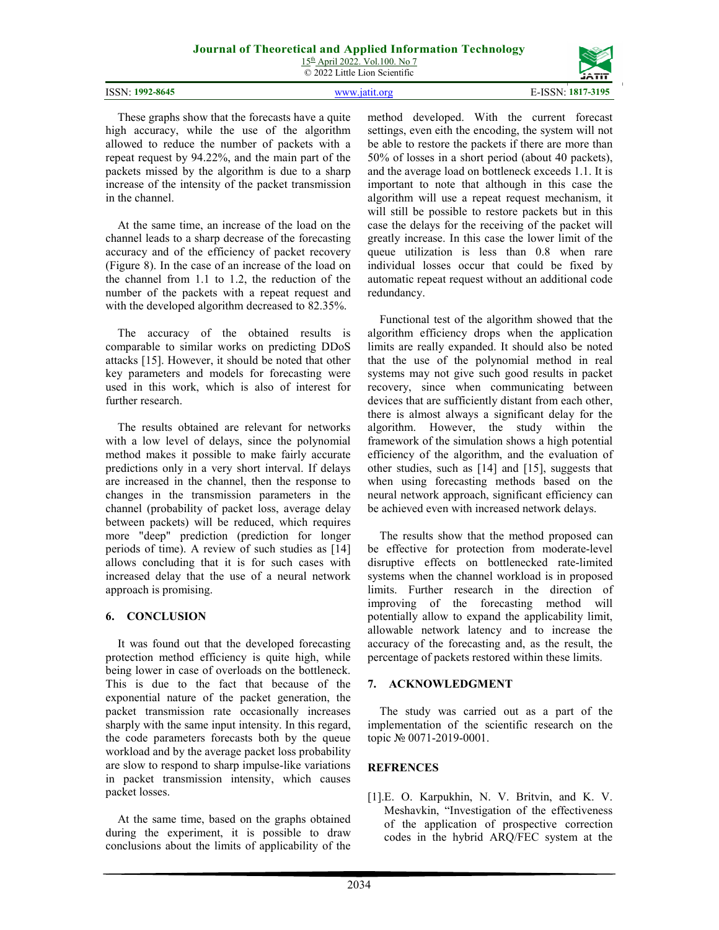15th April 2022. Vol.100. No 7 © 2022 Little Lion Scientific

|                         | <b>JAIL</b>             |
|-------------------------|-------------------------|
| 1992-8645<br>ISSN:<br>. | $-310r$<br>. N H<br>. . |

These graphs show that the forecasts have a quite high accuracy, while the use of the algorithm allowed to reduce the number of packets with a repeat request by 94.22%, and the main part of the packets missed by the algorithm is due to a sharp increase of the intensity of the packet transmission in the channel.

At the same time, an increase of the load on the channel leads to a sharp decrease of the forecasting accuracy and of the efficiency of packet recovery (Figure 8). In the case of an increase of the load on the channel from 1.1 to 1.2, the reduction of the number of the packets with a repeat request and with the developed algorithm decreased to 82.35%.

The accuracy of the obtained results is comparable to similar works on predicting DDoS attacks [15]. However, it should be noted that other key parameters and models for forecasting were used in this work, which is also of interest for further research.

The results obtained are relevant for networks with a low level of delays, since the polynomial method makes it possible to make fairly accurate predictions only in a very short interval. If delays are increased in the channel, then the response to changes in the transmission parameters in the channel (probability of packet loss, average delay between packets) will be reduced, which requires more "deep" prediction (prediction for longer periods of time). A review of such studies as [14] allows concluding that it is for such cases with increased delay that the use of a neural network approach is promising.

## **6. CONCLUSION**

It was found out that the developed forecasting protection method efficiency is quite high, while being lower in case of overloads on the bottleneck. This is due to the fact that because of the exponential nature of the packet generation, the packet transmission rate occasionally increases sharply with the same input intensity. In this regard, the code parameters forecasts both by the queue workload and by the average packet loss probability are slow to respond to sharp impulse-like variations in packet transmission intensity, which causes packet losses.

At the same time, based on the graphs obtained during the experiment, it is possible to draw conclusions about the limits of applicability of the

method developed. With the current forecast settings, even eith the encoding, the system will not be able to restore the packets if there are more than 50% of losses in a short period (about 40 packets), and the average load on bottleneck exceeds 1.1. It is important to note that although in this case the algorithm will use a repeat request mechanism, it will still be possible to restore packets but in this case the delays for the receiving of the packet will greatly increase. In this case the lower limit of the queue utilization is less than 0.8 when rare individual losses occur that could be fixed by automatic repeat request without an additional code redundancy.

Functional test of the algorithm showed that the algorithm efficiency drops when the application limits are really expanded. It should also be noted that the use of the polynomial method in real systems may not give such good results in packet recovery, since when communicating between devices that are sufficiently distant from each other, there is almost always a significant delay for the algorithm. However, the study within the framework of the simulation shows a high potential efficiency of the algorithm, and the evaluation of other studies, such as [14] and [15], suggests that when using forecasting methods based on the neural network approach, significant efficiency can be achieved even with increased network delays.

The results show that the method proposed can be effective for protection from moderate-level disruptive effects on bottlenecked rate-limited systems when the channel workload is in proposed limits. Further research in the direction of improving of the forecasting method will potentially allow to expand the applicability limit, allowable network latency and to increase the accuracy of the forecasting and, as the result, the percentage of packets restored within these limits.

## **7. ACKNOWLEDGMENT**

The study was carried out as a part of the implementation of the scientific research on the topic № 0071-2019-0001.

# **REFRENCES**

[1].E. O. Karpukhin, N. V. Britvin, and K. V. Meshavkin, "Investigation of the effectiveness of the application of prospective correction codes in the hybrid ARQ/FEC system at the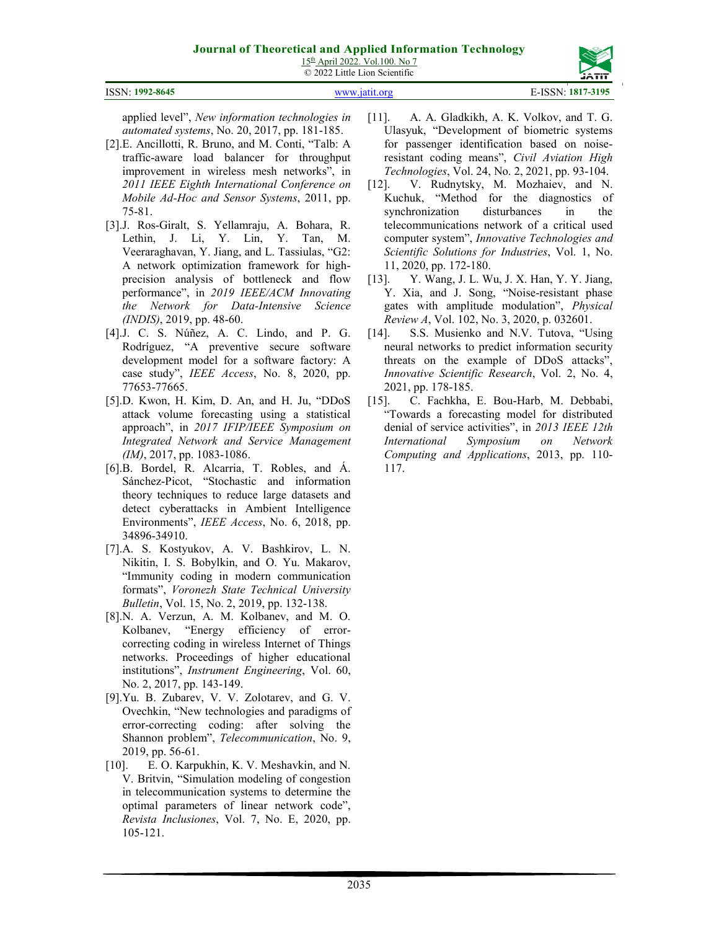| 15 <sup>th</sup> April 2022. Vol. 100. No 7 |
|---------------------------------------------|
| © 2022 Little Lion Scientific               |

| JĀTĪT |
|-------|
|       |

| ISSN: 1992-8645 | www.jatit.org | E-ISSN: 1817-3195 |
|-----------------|---------------|-------------------|

applied level", *New information technologies in automated systems*, No. 20, 2017, pp. 181-185.

- [2].E. Ancillotti, R. Bruno, and M. Conti, "Talb: A traffic-aware load balancer for throughput improvement in wireless mesh networks", in *2011 IEEE Eighth International Conference on Mobile Ad-Hoc and Sensor Systems*, 2011, pp. 75-81.
- [3].J. Ros-Giralt, S. Yellamraju, A. Bohara, R. Lethin, J. Li, Y. Lin, Y. Tan, M. Veeraraghavan, Y. Jiang, and L. Tassiulas, "G2: A network optimization framework for highprecision analysis of bottleneck and flow performance", in *2019 IEEE/ACM Innovating the Network for Data-Intensive Science (INDIS)*, 2019, pp. 48-60.
- [4].J. C. S. Núñez, A. C. Lindo, and P. G. Rodríguez, "A preventive secure software development model for a software factory: A case study", *IEEE Access*, No. 8, 2020, pp. 77653-77665.
- [5].D. Kwon, H. Kim, D. An, and H. Ju, "DDoS attack volume forecasting using a statistical approach", in *2017 IFIP/IEEE Symposium on Integrated Network and Service Management (IM)*, 2017, pp. 1083-1086.
- [6].B. Bordel, R. Alcarria, T. Robles, and Á. Sánchez-Picot, "Stochastic and information theory techniques to reduce large datasets and detect cyberattacks in Ambient Intelligence Environments", *IEEE Access*, No. 6, 2018, pp. 34896-34910.
- [7].A. S. Kostyukov, A. V. Bashkirov, L. N. Nikitin, I. S. Bobylkin, and O. Yu. Makarov, "Immunity coding in modern communication formats", *Voronezh State Technical University Bulletin*, Vol. 15, No. 2, 2019, pp. 132-138.
- [8].N. A. Verzun, A. M. Kolbanev, and M. O. Kolbanev, "Energy efficiency of errorcorrecting coding in wireless Internet of Things networks. Proceedings of higher educational institutions", *Instrument Engineering*, Vol. 60, No. 2, 2017, pp. 143-149.
- [9].Yu. B. Zubarev, V. V. Zolotarev, and G. V. Ovechkin, "New technologies and paradigms of error-correcting coding: after solving the Shannon problem", *Telecommunication*, No. 9, 2019, pp. 56-61.
- [10]. E. O. Karpukhin, K. V. Meshavkin, and N. V. Britvin, "Simulation modeling of congestion in telecommunication systems to determine the optimal parameters of linear network code", *Revista Inclusiones*, Vol. 7, No. E, 2020, pp. 105-121.
- [11]. A. A. Gladkikh, A. K. Volkov, and T. G. Ulasyuk, "Development of biometric systems for passenger identification based on noiseresistant coding means", *Civil Aviation High Technologies*, Vol. 24, No. 2, 2021, pp. 93-104.
- [12]. V. Rudnytsky, M. Mozhaiev, and N. Kuchuk, "Method for the diagnostics of synchronization disturbances in the telecommunications network of a critical used computer system", *Innovative Technologies and Scientific Solutions for Industries*, Vol. 1, No. 11, 2020, pp. 172-180.
- [13]. Y. Wang, J. L. Wu, J. X. Han, Y. Y. Jiang, Y. Xia, and J. Song, "Noise-resistant phase gates with amplitude modulation", *Physical Review A*, Vol. 102, No. 3, 2020, p. 032601.
- [14]. S.S. Musienko and N.V. Tutova, "Using neural networks to predict information security threats on the example of DDoS attacks", *Innovative Scientific Research*, Vol. 2, No. 4, 2021, pp. 178-185.
- [15]. C. Fachkha, E. Bou-Harb, M. Debbabi, "Towards a forecasting model for distributed denial of service activities", in *2013 IEEE 12th International Symposium on Network Computing and Applications*, 2013, pp. 110- 117.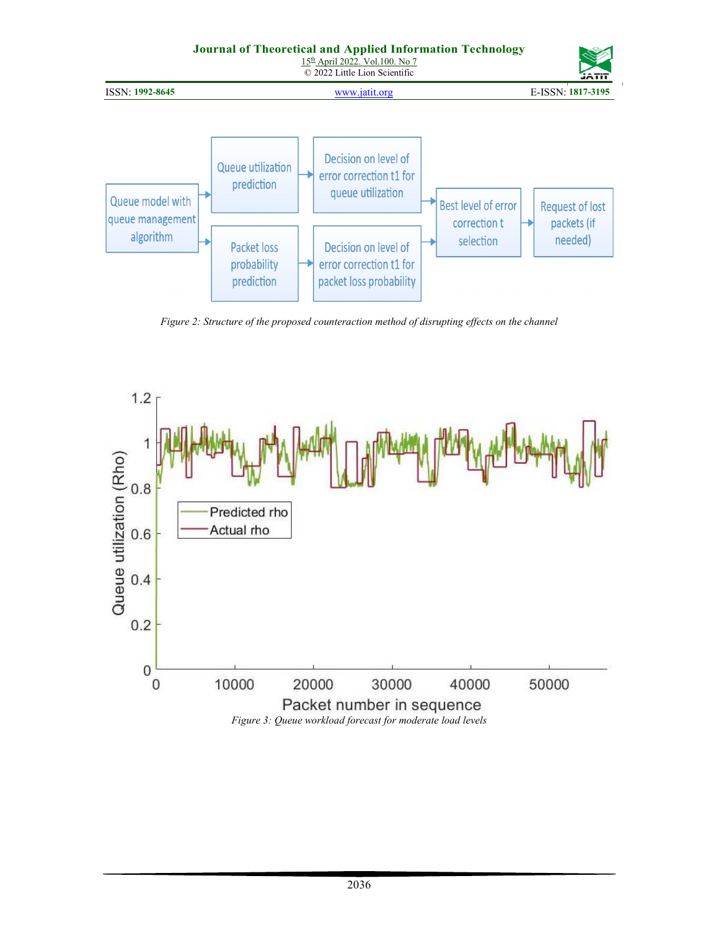

*Figure 2: Structure of the proposed counteraction method of disrupting effects on the channel* 



*Figure 3: Queue workload forecast for moderate load levels*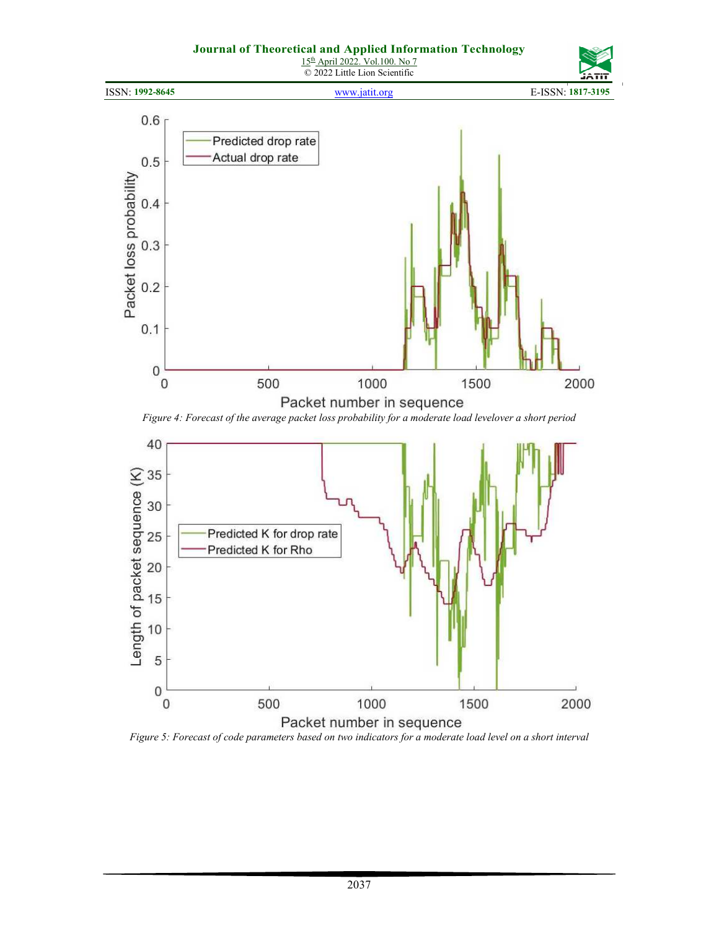

*Figure 5: Forecast of code parameters based on two indicators for a moderate load level on a short interval*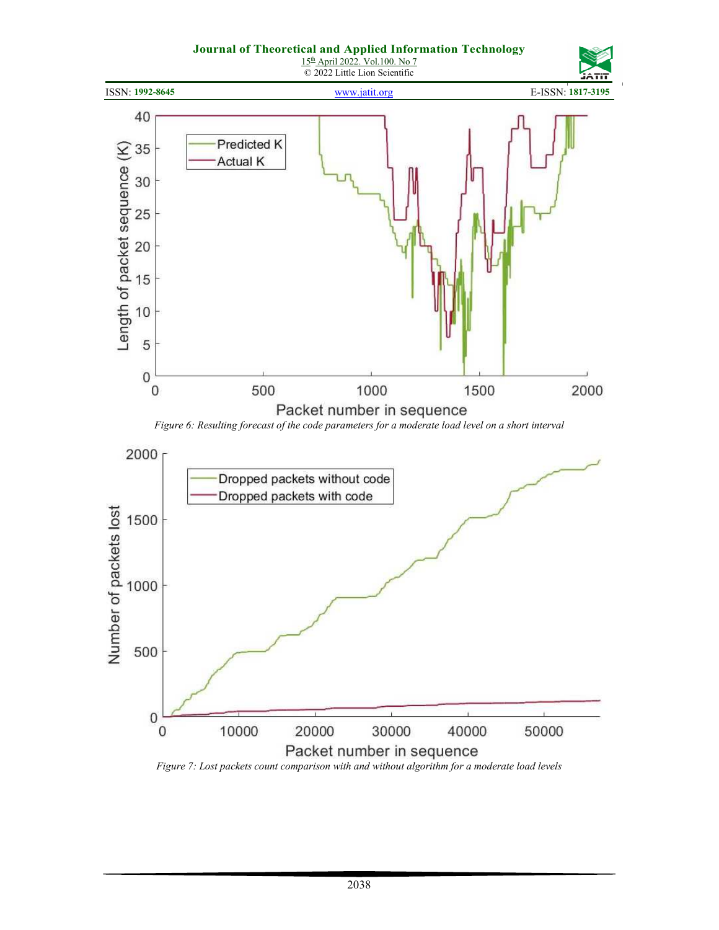

*Figure 7: Lost packets count comparison with and without algorithm for a moderate load levels*